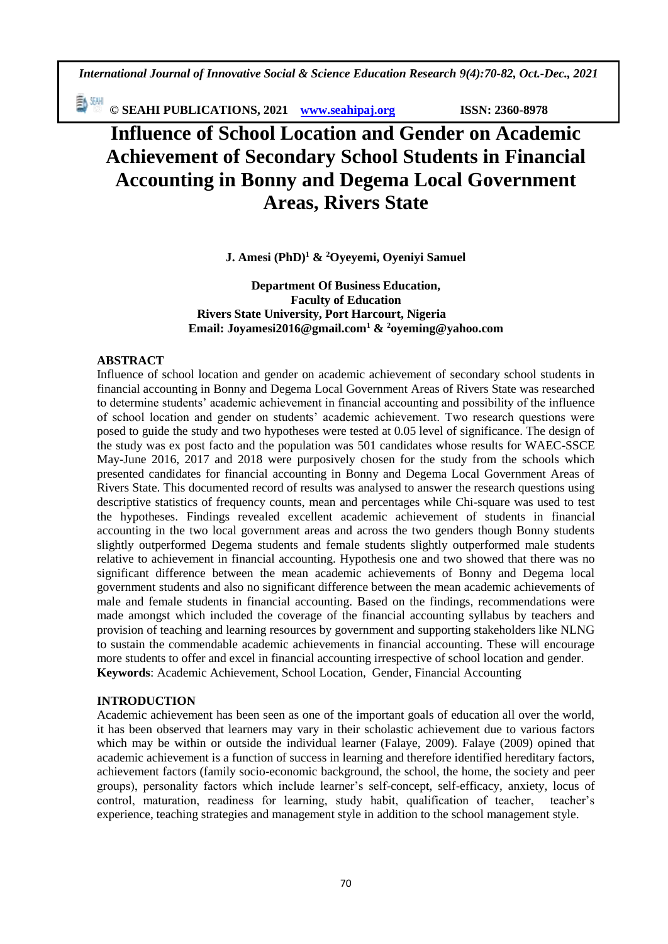*International Journal of Innovative Social & Science Education Research 9(4):70-82, Oct.-Dec., 2021*

動洲 **© SEAHI PUBLICATIONS, 2021 [www.seahipaj.org](http://www.seahipaj.org/) ISSN: 2360-8978**

# **Influence of School Location and Gender on Academic Achievement of Secondary School Students in Financial Accounting in Bonny and Degema Local Government Areas, Rivers State**

**J. Amesi (PhD)<sup>1</sup> & <sup>2</sup>Oyeyemi, Oyeniyi Samuel**

**Department Of Business Education, Faculty of Education Rivers State University, Port Harcourt, Nigeria Email[: Joyamesi2016@gmail.com](mailto:Joyamesi2016@gmail.com1)<sup>1</sup> & <sup>2</sup>[oyeming@yahoo.com](mailto:oyeming@yahoo.com)**

# **ABSTRACT**

Influence of school location and gender on academic achievement of secondary school students in financial accounting in Bonny and Degema Local Government Areas of Rivers State was researched to determine students' academic achievement in financial accounting and possibility of the influence of school location and gender on students' academic achievement. Two research questions were posed to guide the study and two hypotheses were tested at 0.05 level of significance. The design of the study was ex post facto and the population was 501 candidates whose results for WAEC-SSCE May-June 2016, 2017 and 2018 were purposively chosen for the study from the schools which presented candidates for financial accounting in Bonny and Degema Local Government Areas of Rivers State. This documented record of results was analysed to answer the research questions using descriptive statistics of frequency counts, mean and percentages while Chi-square was used to test the hypotheses. Findings revealed excellent academic achievement of students in financial accounting in the two local government areas and across the two genders though Bonny students slightly outperformed Degema students and female students slightly outperformed male students relative to achievement in financial accounting. Hypothesis one and two showed that there was no significant difference between the mean academic achievements of Bonny and Degema local government students and also no significant difference between the mean academic achievements of male and female students in financial accounting. Based on the findings, recommendations were made amongst which included the coverage of the financial accounting syllabus by teachers and provision of teaching and learning resources by government and supporting stakeholders like NLNG to sustain the commendable academic achievements in financial accounting. These will encourage more students to offer and excel in financial accounting irrespective of school location and gender. **Keywords**: Academic Achievement, School Location, Gender, Financial Accounting

## **INTRODUCTION**

Academic achievement has been seen as one of the important goals of education all over the world, it has been observed that learners may vary in their scholastic achievement due to various factors which may be within or outside the individual learner (Falaye, 2009). Falaye (2009) opined that academic achievement is a function of success in learning and therefore identified hereditary factors, achievement factors (family socio-economic background, the school, the home, the society and peer groups), personality factors which include learner's self-concept, self-efficacy, anxiety, locus of control, maturation, readiness for learning, study habit, qualification of teacher, teacher's experience, teaching strategies and management style in addition to the school management style.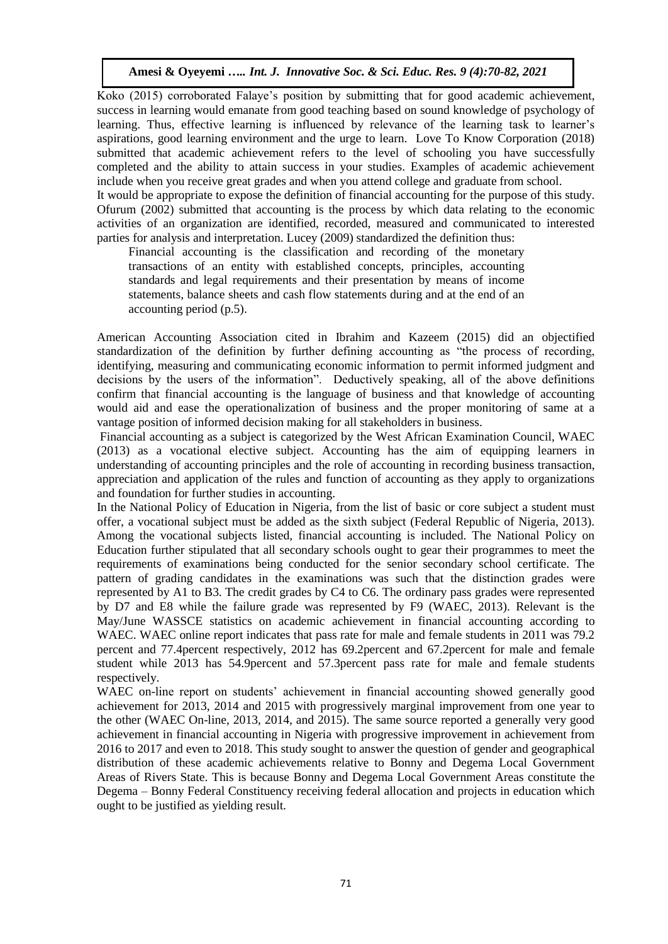Koko (2015) corroborated Falaye's position by submitting that for good academic achievement, success in learning would emanate from good teaching based on sound knowledge of psychology of learning. Thus, effective learning is influenced by relevance of the learning task to learner's aspirations, good learning environment and the urge to learn. Love To Know Corporation (2018) submitted that academic achievement refers to the level of schooling you have successfully completed and the ability to attain success in your studies. Examples of academic achievement include when you receive great grades and when you attend college and graduate from school.

It would be appropriate to expose the definition of financial accounting for the purpose of this study. Ofurum (2002) submitted that accounting is the process by which data relating to the economic activities of an organization are identified, recorded, measured and communicated to interested parties for analysis and interpretation. Lucey (2009) standardized the definition thus:

Financial accounting is the classification and recording of the monetary transactions of an entity with established concepts, principles, accounting standards and legal requirements and their presentation by means of income statements, balance sheets and cash flow statements during and at the end of an accounting period (p.5).

American Accounting Association cited in Ibrahim and Kazeem (2015) did an objectified standardization of the definition by further defining accounting as "the process of recording, identifying, measuring and communicating economic information to permit informed judgment and decisions by the users of the information". Deductively speaking, all of the above definitions confirm that financial accounting is the language of business and that knowledge of accounting would aid and ease the operationalization of business and the proper monitoring of same at a vantage position of informed decision making for all stakeholders in business.

Financial accounting as a subject is categorized by the West African Examination Council, WAEC (2013) as a vocational elective subject. Accounting has the aim of equipping learners in understanding of accounting principles and the role of accounting in recording business transaction, appreciation and application of the rules and function of accounting as they apply to organizations and foundation for further studies in accounting.

In the National Policy of Education in Nigeria, from the list of basic or core subject a student must offer, a vocational subject must be added as the sixth subject (Federal Republic of Nigeria, 2013). Among the vocational subjects listed, financial accounting is included. The National Policy on Education further stipulated that all secondary schools ought to gear their programmes to meet the requirements of examinations being conducted for the senior secondary school certificate. The pattern of grading candidates in the examinations was such that the distinction grades were represented by A1 to B3. The credit grades by C4 to C6. The ordinary pass grades were represented by D7 and E8 while the failure grade was represented by F9 (WAEC, 2013). Relevant is the May/June WASSCE statistics on academic achievement in financial accounting according to WAEC. WAEC online report indicates that pass rate for male and female students in 2011 was 79.2 percent and 77.4percent respectively, 2012 has 69.2percent and 67.2percent for male and female student while 2013 has 54.9percent and 57.3percent pass rate for male and female students respectively.

WAEC on-line report on students' achievement in financial accounting showed generally good achievement for 2013, 2014 and 2015 with progressively marginal improvement from one year to the other (WAEC On-line, 2013, 2014, and 2015). The same source reported a generally very good achievement in financial accounting in Nigeria with progressive improvement in achievement from 2016 to 2017 and even to 2018. This study sought to answer the question of gender and geographical distribution of these academic achievements relative to Bonny and Degema Local Government Areas of Rivers State. This is because Bonny and Degema Local Government Areas constitute the Degema – Bonny Federal Constituency receiving federal allocation and projects in education which ought to be justified as yielding result.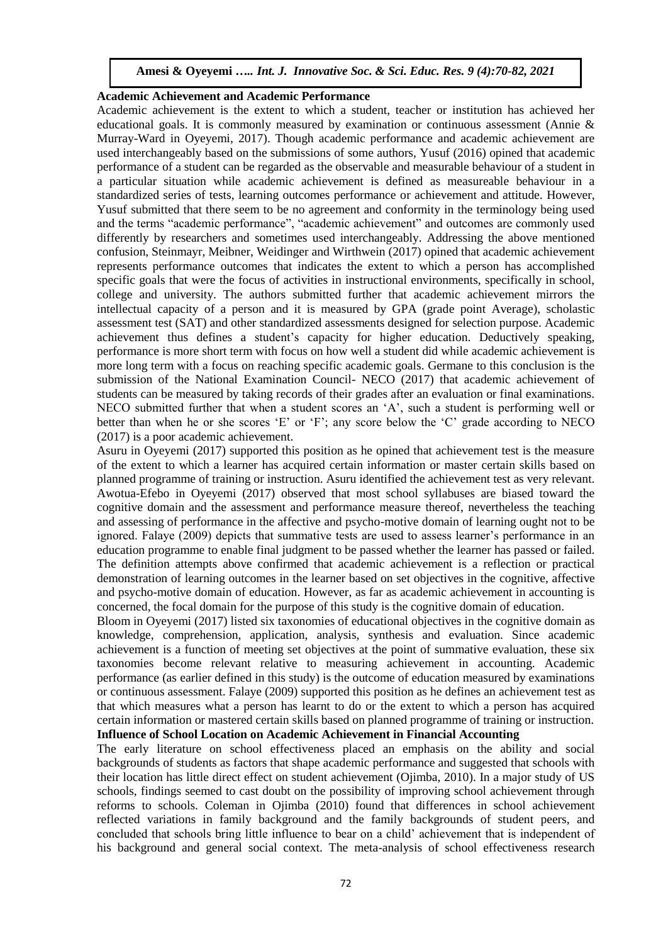#### **Academic Achievement and Academic Performance**

Academic achievement is the extent to which a student, teacher or institution has achieved her educational goals. It is commonly measured by examination or continuous assessment (Annie & Murray-Ward in Oyeyemi, 2017). Though academic performance and academic achievement are used interchangeably based on the submissions of some authors, Yusuf (2016) opined that academic performance of a student can be regarded as the observable and measurable behaviour of a student in a particular situation while academic achievement is defined as measureable behaviour in a standardized series of tests, learning outcomes performance or achievement and attitude. However, Yusuf submitted that there seem to be no agreement and conformity in the terminology being used and the terms "academic performance", "academic achievement" and outcomes are commonly used differently by researchers and sometimes used interchangeably. Addressing the above mentioned confusion, Steinmayr, Meibner, Weidinger and Wirthwein (2017) opined that academic achievement represents performance outcomes that indicates the extent to which a person has accomplished specific goals that were the focus of activities in instructional environments, specifically in school, college and university. The authors submitted further that academic achievement mirrors the intellectual capacity of a person and it is measured by GPA (grade point Average), scholastic assessment test (SAT) and other standardized assessments designed for selection purpose. Academic achievement thus defines a student's capacity for higher education. Deductively speaking, performance is more short term with focus on how well a student did while academic achievement is more long term with a focus on reaching specific academic goals. Germane to this conclusion is the submission of the National Examination Council- NECO (2017) that academic achievement of students can be measured by taking records of their grades after an evaluation or final examinations. NECO submitted further that when a student scores an 'A', such a student is performing well or better than when he or she scores 'E' or 'F'; any score below the 'C' grade according to NECO (2017) is a poor academic achievement.

Asuru in Oyeyemi (2017) supported this position as he opined that achievement test is the measure of the extent to which a learner has acquired certain information or master certain skills based on planned programme of training or instruction. Asuru identified the achievement test as very relevant. Awotua-Efebo in Oyeyemi (2017) observed that most school syllabuses are biased toward the cognitive domain and the assessment and performance measure thereof, nevertheless the teaching and assessing of performance in the affective and psycho-motive domain of learning ought not to be ignored. Falaye (2009) depicts that summative tests are used to assess learner's performance in an education programme to enable final judgment to be passed whether the learner has passed or failed. The definition attempts above confirmed that academic achievement is a reflection or practical demonstration of learning outcomes in the learner based on set objectives in the cognitive, affective and psycho-motive domain of education. However, as far as academic achievement in accounting is concerned, the focal domain for the purpose of this study is the cognitive domain of education.

Bloom in Oyeyemi (2017) listed six taxonomies of educational objectives in the cognitive domain as knowledge, comprehension, application, analysis, synthesis and evaluation. Since academic achievement is a function of meeting set objectives at the point of summative evaluation, these six taxonomies become relevant relative to measuring achievement in accounting. Academic performance (as earlier defined in this study) is the outcome of education measured by examinations or continuous assessment. Falaye (2009) supported this position as he defines an achievement test as that which measures what a person has learnt to do or the extent to which a person has acquired certain information or mastered certain skills based on planned programme of training or instruction. **Influence of School Location on Academic Achievement in Financial Accounting**

The early literature on school effectiveness placed an emphasis on the ability and social backgrounds of students as factors that shape academic performance and suggested that schools with their location has little direct effect on student achievement (Ojimba, 2010). In a major study of US schools, findings seemed to cast doubt on the possibility of improving school achievement through reforms to schools. Coleman in Ojimba (2010) found that differences in school achievement reflected variations in family background and the family backgrounds of student peers, and concluded that schools bring little influence to bear on a child' achievement that is independent of his background and general social context. The meta-analysis of school effectiveness research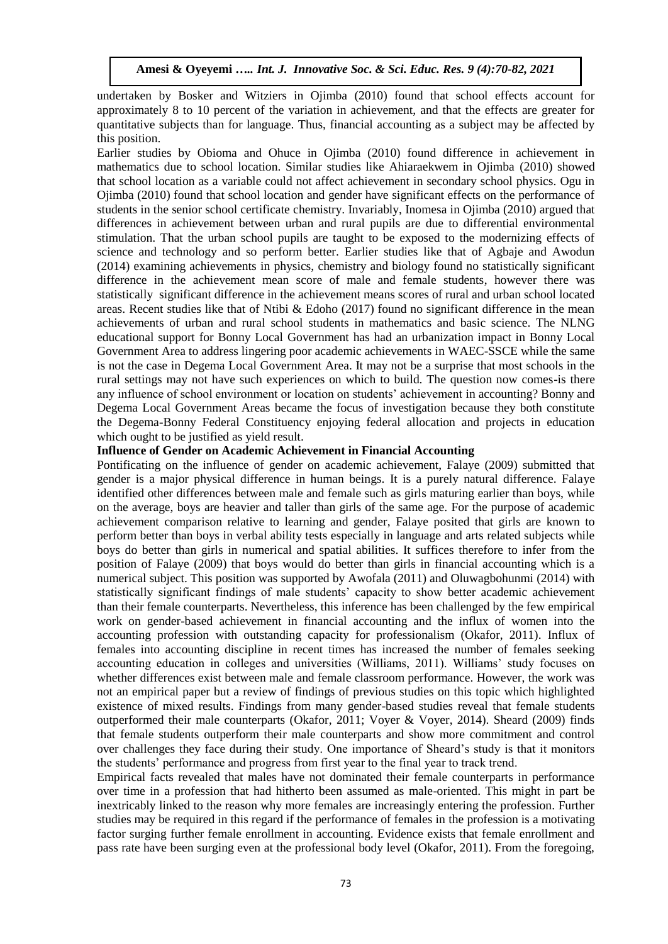undertaken by Bosker and Witziers in Ojimba (2010) found that school effects account for approximately 8 to 10 percent of the variation in achievement, and that the effects are greater for quantitative subjects than for language. Thus, financial accounting as a subject may be affected by this position.

Earlier studies by Obioma and Ohuce in Ojimba (2010) found difference in achievement in mathematics due to school location. Similar studies like Ahiaraekwem in Ojimba (2010) showed that school location as a variable could not affect achievement in secondary school physics. Ogu in Ojimba (2010) found that school location and gender have significant effects on the performance of students in the senior school certificate chemistry. Invariably, Inomesa in Ojimba (2010) argued that differences in achievement between urban and rural pupils are due to differential environmental stimulation. That the urban school pupils are taught to be exposed to the modernizing effects of science and technology and so perform better. Earlier studies like that of Agbaje and Awodun (2014) examining achievements in physics, chemistry and biology found no statistically significant difference in the achievement mean score of male and female students, however there was statistically significant difference in the achievement means scores of rural and urban school located areas. Recent studies like that of Ntibi & Edoho (2017) found no significant difference in the mean achievements of urban and rural school students in mathematics and basic science. The NLNG educational support for Bonny Local Government has had an urbanization impact in Bonny Local Government Area to address lingering poor academic achievements in WAEC-SSCE while the same is not the case in Degema Local Government Area. It may not be a surprise that most schools in the rural settings may not have such experiences on which to build. The question now comes-is there any influence of school environment or location on students' achievement in accounting? Bonny and Degema Local Government Areas became the focus of investigation because they both constitute the Degema-Bonny Federal Constituency enjoying federal allocation and projects in education which ought to be justified as yield result.

#### **Influence of Gender on Academic Achievement in Financial Accounting**

Pontificating on the influence of gender on academic achievement, Falaye (2009) submitted that gender is a major physical difference in human beings. It is a purely natural difference. Falaye identified other differences between male and female such as girls maturing earlier than boys, while on the average, boys are heavier and taller than girls of the same age. For the purpose of academic achievement comparison relative to learning and gender, Falaye posited that girls are known to perform better than boys in verbal ability tests especially in language and arts related subjects while boys do better than girls in numerical and spatial abilities. It suffices therefore to infer from the position of Falaye (2009) that boys would do better than girls in financial accounting which is a numerical subject. This position was supported by Awofala (2011) and Oluwagbohunmi (2014) with statistically significant findings of male students' capacity to show better academic achievement than their female counterparts. Nevertheless, this inference has been challenged by the few empirical work on gender-based achievement in financial accounting and the influx of women into the accounting profession with outstanding capacity for professionalism (Okafor, 2011). Influx of females into accounting discipline in recent times has increased the number of females seeking accounting education in colleges and universities (Williams, 2011). Williams' study focuses on whether differences exist between male and female classroom performance. However, the work was not an empirical paper but a review of findings of previous studies on this topic which highlighted existence of mixed results. Findings from many gender-based studies reveal that female students outperformed their male counterparts (Okafor, 2011; Voyer & Voyer, 2014). Sheard (2009) finds that female students outperform their male counterparts and show more commitment and control over challenges they face during their study. One importance of Sheard's study is that it monitors the students' performance and progress from first year to the final year to track trend.

Empirical facts revealed that males have not dominated their female counterparts in performance over time in a profession that had hitherto been assumed as male-oriented. This might in part be inextricably linked to the reason why more females are increasingly entering the profession. Further studies may be required in this regard if the performance of females in the profession is a motivating factor surging further female enrollment in accounting. Evidence exists that female enrollment and pass rate have been surging even at the professional body level (Okafor, 2011). From the foregoing,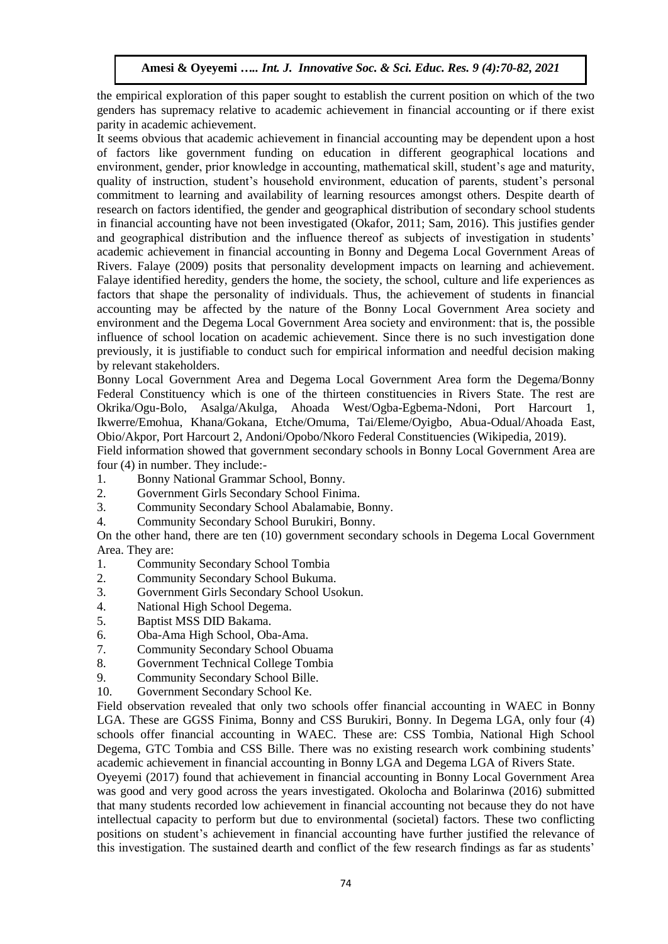the empirical exploration of this paper sought to establish the current position on which of the two genders has supremacy relative to academic achievement in financial accounting or if there exist parity in academic achievement.

It seems obvious that academic achievement in financial accounting may be dependent upon a host of factors like government funding on education in different geographical locations and environment, gender, prior knowledge in accounting, mathematical skill, student's age and maturity, quality of instruction, student's household environment, education of parents, student's personal commitment to learning and availability of learning resources amongst others. Despite dearth of research on factors identified, the gender and geographical distribution of secondary school students in financial accounting have not been investigated (Okafor, 2011; Sam, 2016). This justifies gender and geographical distribution and the influence thereof as subjects of investigation in students' academic achievement in financial accounting in Bonny and Degema Local Government Areas of Rivers. Falaye (2009) posits that personality development impacts on learning and achievement. Falaye identified heredity, genders the home, the society, the school, culture and life experiences as factors that shape the personality of individuals. Thus, the achievement of students in financial accounting may be affected by the nature of the Bonny Local Government Area society and environment and the Degema Local Government Area society and environment: that is, the possible influence of school location on academic achievement. Since there is no such investigation done previously, it is justifiable to conduct such for empirical information and needful decision making by relevant stakeholders.

Bonny Local Government Area and Degema Local Government Area form the Degema/Bonny Federal Constituency which is one of the thirteen constituencies in Rivers State. The rest are Okrika/Ogu-Bolo, Asalga/Akulga, Ahoada West/Ogba-Egbema-Ndoni, Port Harcourt 1, Ikwerre/Emohua, Khana/Gokana, Etche/Omuma, Tai/Eleme/Oyigbo, Abua-Odual/Ahoada East, Obio/Akpor, Port Harcourt 2, Andoni/Opobo/Nkoro Federal Constituencies (Wikipedia, 2019).

Field information showed that government secondary schools in Bonny Local Government Area are four (4) in number. They include:-

- 1. Bonny National Grammar School, Bonny.
- 2. Government Girls Secondary School Finima.
- 3. Community Secondary School Abalamabie, Bonny.
- 4. Community Secondary School Burukiri, Bonny.

On the other hand, there are ten (10) government secondary schools in Degema Local Government Area. They are:

- 1. Community Secondary School Tombia
- 2. Community Secondary School Bukuma.
- 3. Government Girls Secondary School Usokun.
- 4. National High School Degema.
- 5. Baptist MSS DID Bakama.
- 6. Oba-Ama High School, Oba-Ama.
- 7. Community Secondary School Obuama
- 8. Government Technical College Tombia
- 9. Community Secondary School Bille.
- 10. Government Secondary School Ke.

Field observation revealed that only two schools offer financial accounting in WAEC in Bonny LGA. These are GGSS Finima, Bonny and CSS Burukiri, Bonny. In Degema LGA, only four (4) schools offer financial accounting in WAEC. These are: CSS Tombia, National High School Degema, GTC Tombia and CSS Bille. There was no existing research work combining students' academic achievement in financial accounting in Bonny LGA and Degema LGA of Rivers State.

Oyeyemi (2017) found that achievement in financial accounting in Bonny Local Government Area was good and very good across the years investigated. Okolocha and Bolarinwa (2016) submitted that many students recorded low achievement in financial accounting not because they do not have intellectual capacity to perform but due to environmental (societal) factors. These two conflicting positions on student's achievement in financial accounting have further justified the relevance of this investigation. The sustained dearth and conflict of the few research findings as far as students'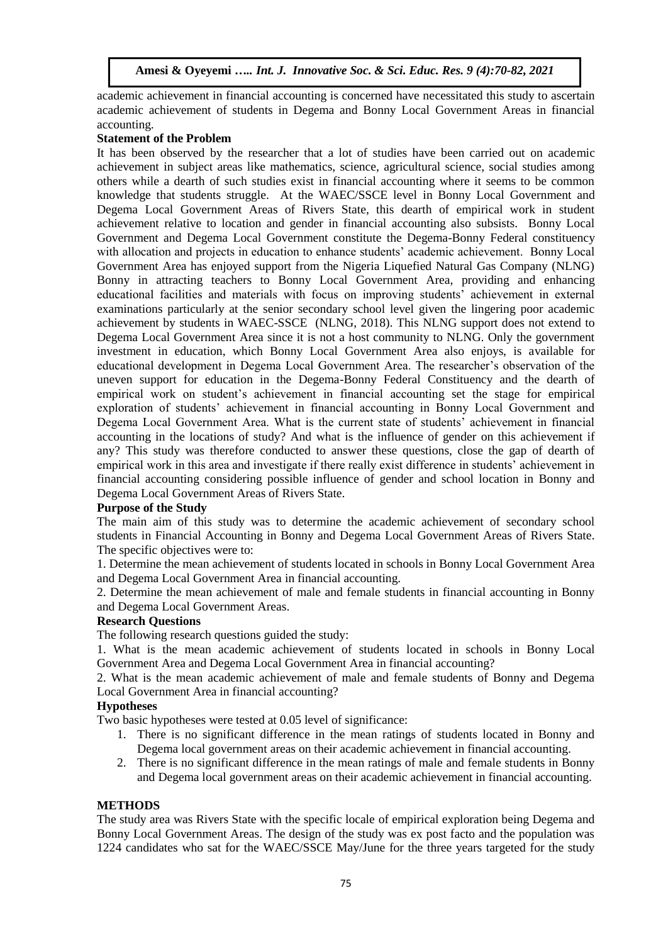academic achievement in financial accounting is concerned have necessitated this study to ascertain academic achievement of students in Degema and Bonny Local Government Areas in financial accounting.

#### **Statement of the Problem**

It has been observed by the researcher that a lot of studies have been carried out on academic achievement in subject areas like mathematics, science, agricultural science, social studies among others while a dearth of such studies exist in financial accounting where it seems to be common knowledge that students struggle. At the WAEC/SSCE level in Bonny Local Government and Degema Local Government Areas of Rivers State, this dearth of empirical work in student achievement relative to location and gender in financial accounting also subsists. Bonny Local Government and Degema Local Government constitute the Degema-Bonny Federal constituency with allocation and projects in education to enhance students' academic achievement. Bonny Local Government Area has enjoyed support from the Nigeria Liquefied Natural Gas Company (NLNG) Bonny in attracting teachers to Bonny Local Government Area, providing and enhancing educational facilities and materials with focus on improving students' achievement in external examinations particularly at the senior secondary school level given the lingering poor academic achievement by students in WAEC-SSCE (NLNG, 2018). This NLNG support does not extend to Degema Local Government Area since it is not a host community to NLNG. Only the government investment in education, which Bonny Local Government Area also enjoys, is available for educational development in Degema Local Government Area. The researcher's observation of the uneven support for education in the Degema-Bonny Federal Constituency and the dearth of empirical work on student's achievement in financial accounting set the stage for empirical exploration of students' achievement in financial accounting in Bonny Local Government and Degema Local Government Area. What is the current state of students' achievement in financial accounting in the locations of study? And what is the influence of gender on this achievement if any? This study was therefore conducted to answer these questions, close the gap of dearth of empirical work in this area and investigate if there really exist difference in students' achievement in financial accounting considering possible influence of gender and school location in Bonny and Degema Local Government Areas of Rivers State.

#### **Purpose of the Study**

The main aim of this study was to determine the academic achievement of secondary school students in Financial Accounting in Bonny and Degema Local Government Areas of Rivers State. The specific objectives were to:

1. Determine the mean achievement of students located in schools in Bonny Local Government Area and Degema Local Government Area in financial accounting.

2. Determine the mean achievement of male and female students in financial accounting in Bonny and Degema Local Government Areas.

#### **Research Questions**

The following research questions guided the study:

1. What is the mean academic achievement of students located in schools in Bonny Local Government Area and Degema Local Government Area in financial accounting?

2. What is the mean academic achievement of male and female students of Bonny and Degema Local Government Area in financial accounting?

#### **Hypotheses**

Two basic hypotheses were tested at 0.05 level of significance:

- 1. There is no significant difference in the mean ratings of students located in Bonny and Degema local government areas on their academic achievement in financial accounting.
- 2. There is no significant difference in the mean ratings of male and female students in Bonny and Degema local government areas on their academic achievement in financial accounting.

## **METHODS**

The study area was Rivers State with the specific locale of empirical exploration being Degema and Bonny Local Government Areas. The design of the study was ex post facto and the population was 1224 candidates who sat for the WAEC/SSCE May/June for the three years targeted for the study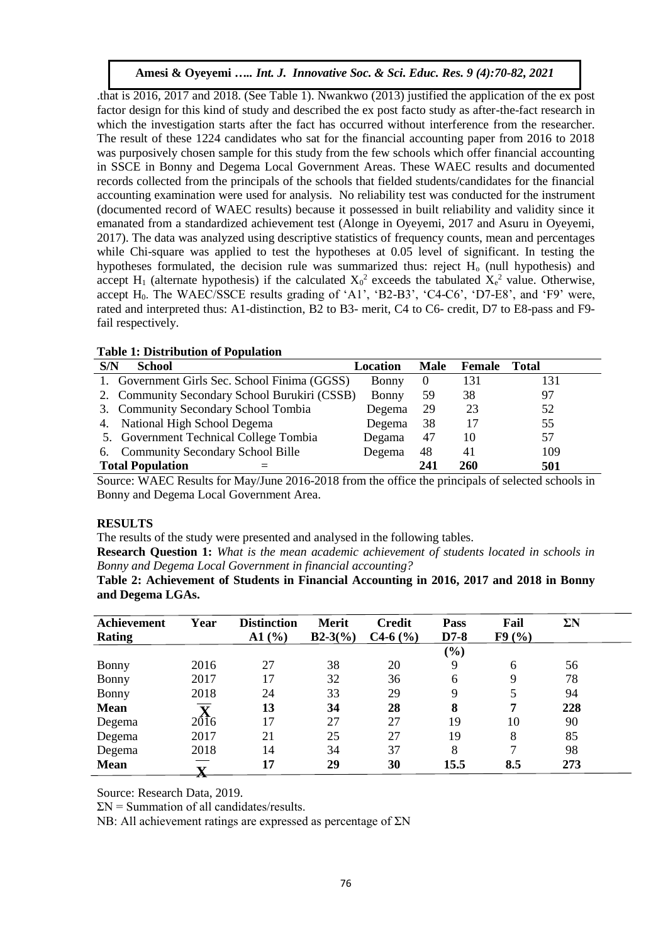.that is 2016, 2017 and 2018. (See Table 1). Nwankwo (2013) justified the application of the ex post factor design for this kind of study and described the ex post facto study as after-the-fact research in which the investigation starts after the fact has occurred without interference from the researcher. The result of these 1224 candidates who sat for the financial accounting paper from 2016 to 2018 was purposively chosen sample for this study from the few schools which offer financial accounting in SSCE in Bonny and Degema Local Government Areas. These WAEC results and documented records collected from the principals of the schools that fielded students/candidates for the financial accounting examination were used for analysis. No reliability test was conducted for the instrument (documented record of WAEC results) because it possessed in built reliability and validity since it emanated from a standardized achievement test (Alonge in Oyeyemi, 2017 and Asuru in Oyeyemi, 2017). The data was analyzed using descriptive statistics of frequency counts, mean and percentages while Chi-square was applied to test the hypotheses at 0.05 level of significant. In testing the hypotheses formulated, the decision rule was summarized thus: reject  $H_0$  (null hypothesis) and accept H<sub>1</sub> (alternate hypothesis) if the calculated  $X_0^2$  exceeds the tabulated  $X_e^2$  value. Otherwise, accept H<sub>0</sub>. The WAEC/SSCE results grading of 'A1', 'B2-B3', 'C4-C6', 'D7-E8', and 'F9' were, rated and interpreted thus: A1-distinction, B2 to B3- merit, C4 to C6- credit, D7 to E8-pass and F9 fail respectively.

|  | <b>Table 1: Distribution of Population</b> |  |  |
|--|--------------------------------------------|--|--|
|--|--------------------------------------------|--|--|

| S/N<br>School                                 | Location | <b>Male</b> | Female | Total |  |
|-----------------------------------------------|----------|-------------|--------|-------|--|
| 1. Government Girls Sec. School Finima (GGSS) | Bonny    | $\theta$    | 131    | 31    |  |
| 2. Community Secondary School Burukiri (CSSB) | Bonny    | 59          | 38     | 97    |  |
| 3. Community Secondary School Tombia          | Degema   | 29          | 23     | 52    |  |
| 4. National High School Degema                | Degema   | 38          | 17     | 55    |  |
| 5. Government Technical College Tombia        | Degama   | 47          | 10     | 57    |  |
| 6. Community Secondary School Bille           | Degema   | 48          | 41     | 109   |  |
| <b>Total Population</b>                       |          | 241         | 260    | 501   |  |

Source: WAEC Results for May/June 2016-2018 from the office the principals of selected schools in Bonny and Degema Local Government Area.

## **RESULTS**

The results of the study were presented and analysed in the following tables.

**Research Question 1:** *What is the mean academic achievement of students located in schools in Bonny and Degema Local Government in financial accounting?*

| Table 2: Achievement of Students in Financial Accounting in 2016, 2017 and 2018 in Bonny |  |  |  |
|------------------------------------------------------------------------------------------|--|--|--|
| and Degema LGAs.                                                                         |  |  |  |

| <b>Achievement</b> | Year                    | <b>Distinction</b> | Merit     | Credit     | <b>Pass</b> | Fail          | $\Sigma \rm{N}$ |  |
|--------------------|-------------------------|--------------------|-----------|------------|-------------|---------------|-----------------|--|
| <b>Rating</b>      |                         | A1(%)              | $B2-3(%)$ | $C4-6$ (%) | $D7-8$      | F9(%)         |                 |  |
|                    |                         |                    |           |            | (%)         |               |                 |  |
| Bonny              | 2016                    | 27                 | 38        | 20         | 9           | 6             | 56              |  |
| <b>Bonny</b>       | 2017                    | 17                 | 32        | 36         | 6           | 9             | 78              |  |
| Bonny              | 2018                    | 24                 | 33        | 29         | 9           | 5             | 94              |  |
| <b>Mean</b>        | $\overline{\mathbf{v}}$ | 13                 | 34        | 28         | 8           | 7             | 228             |  |
| Degema             | $20\overline{16}$       | 17                 | 27        | 27         | 19          | 10            | 90              |  |
| Degema             | 2017                    | 21                 | 25        | 27         | 19          | 8             | 85              |  |
| Degema             | 2018                    | 14                 | 34        | 37         | 8           | $\mathcal{I}$ | 98              |  |
| <b>Mean</b>        | v                       | 17                 | 29        | 30         | 15.5        | 8.5           | 273             |  |

Source: Research Data, 2019.

 $\Sigma N$  = Summation of all candidates/results.

NB: All achievement ratings are expressed as percentage of ΣN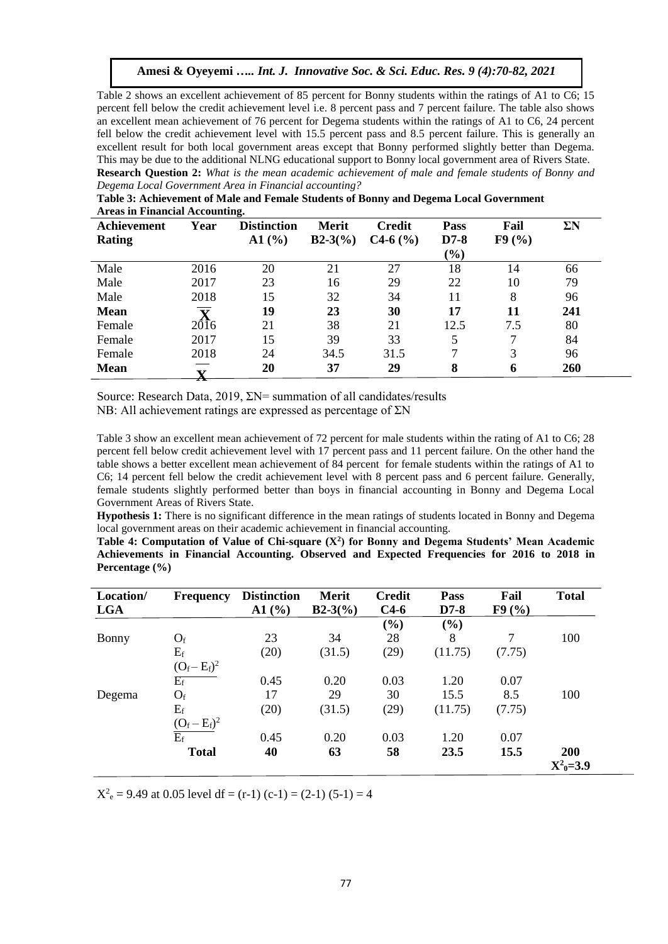Table 2 shows an excellent achievement of 85 percent for Bonny students within the ratings of A1 to C6; 15 percent fell below the credit achievement level i.e. 8 percent pass and 7 percent failure. The table also shows an excellent mean achievement of 76 percent for Degema students within the ratings of A1 to C6, 24 percent fell below the credit achievement level with 15.5 percent pass and 8.5 percent failure. This is generally an excellent result for both local government areas except that Bonny performed slightly better than Degema. This may be due to the additional NLNG educational support to Bonny local government area of Rivers State. **Research Question 2:** *What is the mean academic achievement of male and female students of Bonny and Degema Local Government Area in Financial accounting?* 

| Achievement   | Year                    | <b>Distinction</b> | <b>Merit</b> | <b>Credit</b> | <b>Pass</b>   | Fail  | $\Sigma N$ |
|---------------|-------------------------|--------------------|--------------|---------------|---------------|-------|------------|
| <b>Rating</b> |                         | A1(%)              | $B2-3(%)$    | $C4-6$ (%)    | $D7-8$        | F9(%) |            |
|               |                         |                    |              |               | $\frac{9}{0}$ |       |            |
| Male          | 2016                    | 20                 | 21           | 27            | 18            | 14    | 66         |
| Male          | 2017                    | 23                 | 16           | 29            | 22            | 10    | 79         |
| Male          | 2018                    | 15                 | 32           | 34            | 11            | 8     | 96         |
| <b>Mean</b>   | $\overline{\mathbf{v}}$ | 19                 | 23           | 30            | 17            | 11    | 241        |
| Female        | 20 <sup>1</sup> 6       | 21                 | 38           | 21            | 12.5          | 7.5   | 80         |
| Female        | 2017                    | 15                 | 39           | 33            | 5             | ⇁     | 84         |
| Female        | 2018                    | 24                 | 34.5         | 31.5          | 7             | 3     | 96         |
| <b>Mean</b>   |                         | 20                 | 37           | 29            | 8             | 6     | 260        |

**Table 3: Achievement of Male and Female Students of Bonny and Degema Local Government Areas in Financial Accounting.** 

Source: Research Data, 2019, ΣN= summation of all candidates/results NB: All achievement ratings are expressed as percentage of ΣN

Table 3 show an excellent mean achievement of 72 percent for male students within the rating of A1 to C6; 28 percent fell below credit achievement level with 17 percent pass and 11 percent failure. On the other hand the table shows a better excellent mean achievement of 84 percent for female students within the ratings of A1 to C6; 14 percent fell below the credit achievement level with 8 percent pass and 6 percent failure. Generally, female students slightly performed better than boys in financial accounting in Bonny and Degema Local Government Areas of Rivers State.

**Hypothesis 1:** There is no significant difference in the mean ratings of students located in Bonny and Degema local government areas on their academic achievement in financial accounting.

**Table 4: Computation of Value of Chi-square (X<sup>2</sup> ) for Bonny and Degema Students' Mean Academic Achievements in Financial Accounting. Observed and Expected Frequencies for 2016 to 2018 in Percentage (%)** 

| Location/  | <b>Frequency</b> | <b>Distinction</b> | <b>Merit</b> | <b>Credit</b> | Pass    | Fail   | <b>Total</b>    |
|------------|------------------|--------------------|--------------|---------------|---------|--------|-----------------|
| <b>LGA</b> |                  | AI(%)              | $B2-3(%)$    | $C4-6$        | $D7-8$  | F9(%)  |                 |
|            |                  |                    |              | (%)           | (%)     |        |                 |
| Bonny      | $O_f$            | 23                 | 34           | 28            | 8       | 7      | 100             |
|            | $E_f$            | (20)               | (31.5)       | (29)          | (11.75) | (7.75) |                 |
|            | $(O_f - E_f)^2$  |                    |              |               |         |        |                 |
|            | $E_f$            | 0.45               | 0.20         | 0.03          | 1.20    | 0.07   |                 |
| Degema     | $O_f$            | 17                 | 29           | 30            | 15.5    | 8.5    | 100             |
|            | $E_f$            | (20)               | (31.5)       | (29)          | (11.75) | (7.75) |                 |
|            | $(O_f - E_f)^2$  |                    |              |               |         |        |                 |
|            | $\overline{E_f}$ | 0.45               | 0.20         | 0.03          | 1.20    | 0.07   |                 |
|            | <b>Total</b>     | 40                 | 63           | 58            | 23.5    | 15.5   | 200             |
|            |                  |                    |              |               |         |        | $X^2_{0} = 3.9$ |

 $X<sup>2</sup><sub>e</sub> = 9.49$  at 0.05 level df = (r-1) (c-1) = (2-1) (5-1) = 4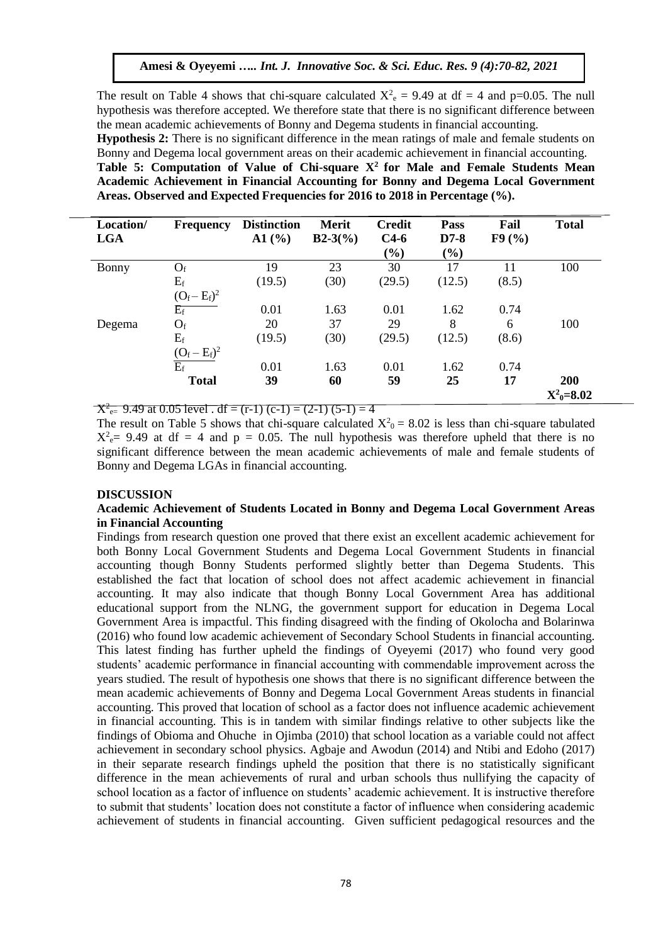The result on Table 4 shows that chi-square calculated  $X^2 = 9.49$  at df = 4 and p=0.05. The null hypothesis was therefore accepted. We therefore state that there is no significant difference between the mean academic achievements of Bonny and Degema students in financial accounting. **Hypothesis 2:** There is no significant difference in the mean ratings of male and female students on Bonny and Degema local government areas on their academic achievement in financial accounting. **Table 5: Computation of Value of Chi-square X<sup>2</sup>for Male and Female Students Mean Academic Achievement in Financial Accounting for Bonny and Degema Local Government Areas. Observed and Expected Frequencies for 2016 to 2018 in Percentage (%).** 

| Location/<br><b>LGA</b> | <b>Frequency</b> | <b>Distinction</b><br>A1(%) | Merit<br>$B2-3(%)$ | <b>Credit</b><br>$C4-6$ | <b>Pass</b><br>$D7-8$ | Fail<br>F9(%) | <b>Total</b>            |
|-------------------------|------------------|-----------------------------|--------------------|-------------------------|-----------------------|---------------|-------------------------|
|                         |                  |                             |                    | $(\%)$                  | $(\%)$                |               |                         |
| Bonny                   | $O_f$            | 19                          | 23                 | 30                      | 17                    | 11            | 100                     |
|                         | $E_f$            | (19.5)                      | (30)               | (29.5)                  | (12.5)                | (8.5)         |                         |
|                         | $(O_f - E_f)^2$  |                             |                    |                         |                       |               |                         |
|                         | $E_f$            | 0.01                        | 1.63               | 0.01                    | 1.62                  | 0.74          |                         |
| Degema                  | $O_f$            | 20                          | 37                 | 29                      | 8                     | 6             | 100                     |
|                         | $E_f$            | (19.5)                      | (30)               | (29.5)                  | (12.5)                | (8.6)         |                         |
|                         | $(O_f - E_f)^2$  |                             |                    |                         |                       |               |                         |
|                         | $\overline{E_f}$ | 0.01                        | 1.63               | 0.01                    | 1.62                  | 0.74          |                         |
|                         | <b>Total</b>     | 39                          | 60                 | 59                      | 25                    | 17            | 200<br>$X^2_{0} = 8.02$ |

 $X^2_{\text{e}} = 9.49$  at 0.05 level . df = (r-1) (c-1) = (2-1) (5-1) = 4

The result on Table 5 shows that chi-square calculated  $X^2$ <sub>0</sub> = 8.02 is less than chi-square tabulated  $X^2$ <sub>e</sub> = 9.49 at df = 4 and p = 0.05. The null hypothesis was therefore upheld that there is no significant difference between the mean academic achievements of male and female students of Bonny and Degema LGAs in financial accounting.

#### **DISCUSSION**

## **Academic Achievement of Students Located in Bonny and Degema Local Government Areas in Financial Accounting**

Findings from research question one proved that there exist an excellent academic achievement for both Bonny Local Government Students and Degema Local Government Students in financial accounting though Bonny Students performed slightly better than Degema Students. This established the fact that location of school does not affect academic achievement in financial accounting. It may also indicate that though Bonny Local Government Area has additional educational support from the NLNG, the government support for education in Degema Local Government Area is impactful. This finding disagreed with the finding of Okolocha and Bolarinwa (2016) who found low academic achievement of Secondary School Students in financial accounting. This latest finding has further upheld the findings of Oyeyemi (2017) who found very good students' academic performance in financial accounting with commendable improvement across the years studied. The result of hypothesis one shows that there is no significant difference between the mean academic achievements of Bonny and Degema Local Government Areas students in financial accounting. This proved that location of school as a factor does not influence academic achievement in financial accounting. This is in tandem with similar findings relative to other subjects like the findings of Obioma and Ohuche in Ojimba (2010) that school location as a variable could not affect achievement in secondary school physics. Agbaje and Awodun (2014) and Ntibi and Edoho (2017) in their separate research findings upheld the position that there is no statistically significant difference in the mean achievements of rural and urban schools thus nullifying the capacity of school location as a factor of influence on students' academic achievement. It is instructive therefore to submit that students' location does not constitute a factor of influence when considering academic achievement of students in financial accounting. Given sufficient pedagogical resources and the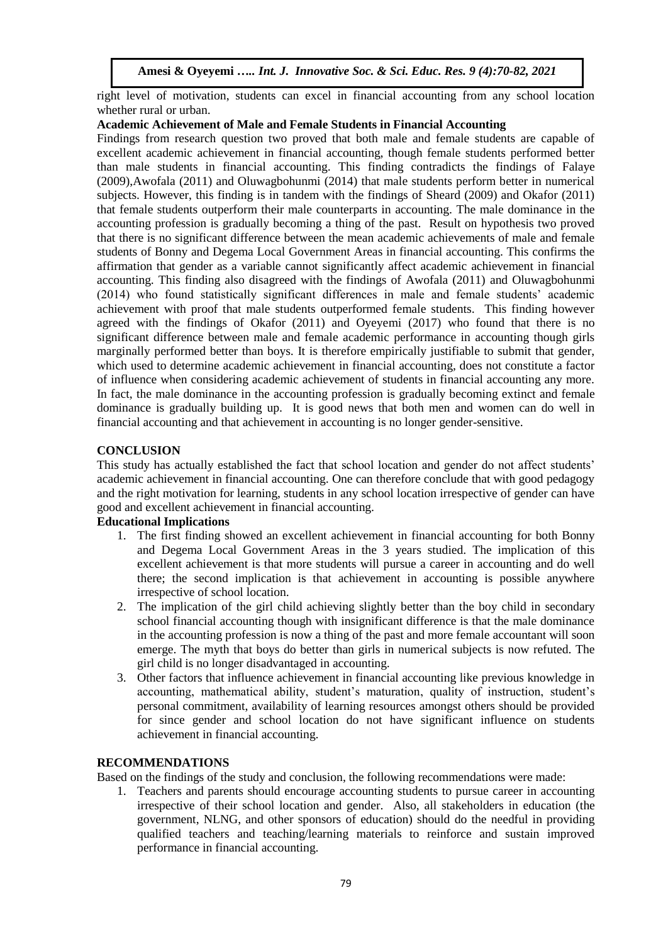right level of motivation, students can excel in financial accounting from any school location whether rural or urban.

## **Academic Achievement of Male and Female Students in Financial Accounting**

Findings from research question two proved that both male and female students are capable of excellent academic achievement in financial accounting, though female students performed better than male students in financial accounting. This finding contradicts the findings of Falaye (2009),Awofala (2011) and Oluwagbohunmi (2014) that male students perform better in numerical subjects. However, this finding is in tandem with the findings of Sheard (2009) and Okafor (2011) that female students outperform their male counterparts in accounting. The male dominance in the accounting profession is gradually becoming a thing of the past. Result on hypothesis two proved that there is no significant difference between the mean academic achievements of male and female students of Bonny and Degema Local Government Areas in financial accounting. This confirms the affirmation that gender as a variable cannot significantly affect academic achievement in financial accounting. This finding also disagreed with the findings of Awofala (2011) and Oluwagbohunmi (2014) who found statistically significant differences in male and female students' academic achievement with proof that male students outperformed female students. This finding however agreed with the findings of Okafor (2011) and Oyeyemi (2017) who found that there is no significant difference between male and female academic performance in accounting though girls marginally performed better than boys. It is therefore empirically justifiable to submit that gender, which used to determine academic achievement in financial accounting, does not constitute a factor of influence when considering academic achievement of students in financial accounting any more. In fact, the male dominance in the accounting profession is gradually becoming extinct and female dominance is gradually building up. It is good news that both men and women can do well in financial accounting and that achievement in accounting is no longer gender-sensitive.

# **CONCLUSION**

This study has actually established the fact that school location and gender do not affect students' academic achievement in financial accounting. One can therefore conclude that with good pedagogy and the right motivation for learning, students in any school location irrespective of gender can have good and excellent achievement in financial accounting.

## **Educational Implications**

- 1. The first finding showed an excellent achievement in financial accounting for both Bonny and Degema Local Government Areas in the 3 years studied. The implication of this excellent achievement is that more students will pursue a career in accounting and do well there; the second implication is that achievement in accounting is possible anywhere irrespective of school location.
- 2. The implication of the girl child achieving slightly better than the boy child in secondary school financial accounting though with insignificant difference is that the male dominance in the accounting profession is now a thing of the past and more female accountant will soon emerge. The myth that boys do better than girls in numerical subjects is now refuted. The girl child is no longer disadvantaged in accounting.
- 3. Other factors that influence achievement in financial accounting like previous knowledge in accounting, mathematical ability, student's maturation, quality of instruction, student's personal commitment, availability of learning resources amongst others should be provided for since gender and school location do not have significant influence on students achievement in financial accounting.

## **RECOMMENDATIONS**

Based on the findings of the study and conclusion, the following recommendations were made:

1. Teachers and parents should encourage accounting students to pursue career in accounting irrespective of their school location and gender. Also, all stakeholders in education (the government, NLNG, and other sponsors of education) should do the needful in providing qualified teachers and teaching/learning materials to reinforce and sustain improved performance in financial accounting.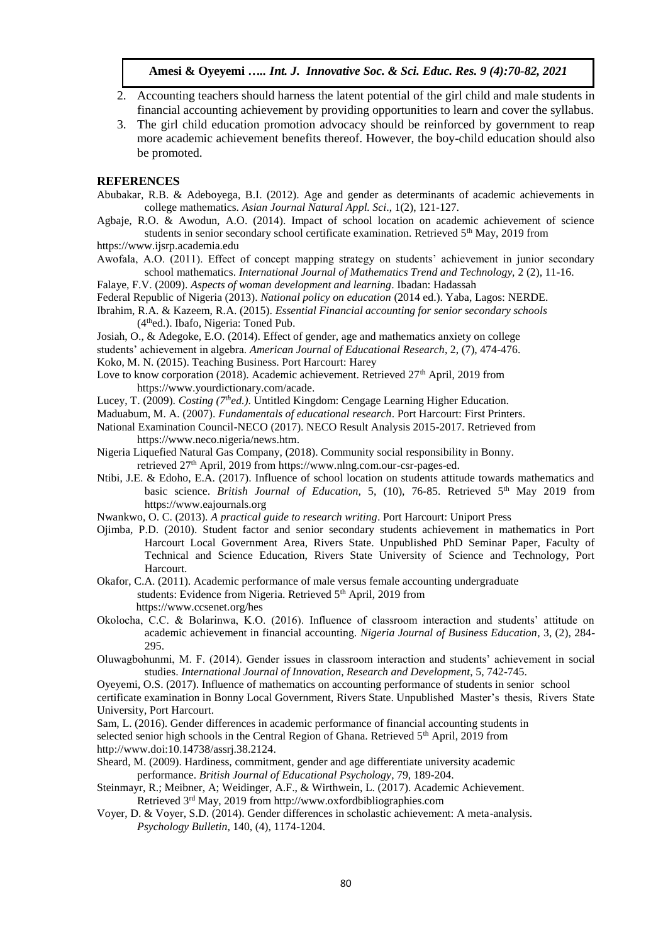- 2. Accounting teachers should harness the latent potential of the girl child and male students in financial accounting achievement by providing opportunities to learn and cover the syllabus.
- 3. The girl child education promotion advocacy should be reinforced by government to reap more academic achievement benefits thereof. However, the boy-child education should also be promoted.

#### **REFERENCES**

- Abubakar, R.B. & Adeboyega, B.I. (2012). Age and gender as determinants of academic achievements in college mathematics. *Asian Journal Natural Appl. Sci*., 1(2), 121-127.
- Agbaje, R.O. & Awodun, A.O. (2014). Impact of school location on academic achievement of science students in senior secondary school certificate examination. Retrieved  $5<sup>th</sup>$  May, 2019 from
- [https://www.ijsrp.academia.edu](https://www.ijsrp.academia.edu/)
- Awofala, A.O. (2011). Effect of concept mapping strategy on students' achievement in junior secondary school mathematics. *International Journal of Mathematics Trend and Technology,* 2 (2), 11-16.

Falaye, F.V. (2009). *Aspects of woman development and learning*. Ibadan: Hadassah

Federal Republic of Nigeria (2013). *National policy on education* (2014 ed.). Yaba, Lagos: NERDE.

- Ibrahim, R.A. & Kazeem, R.A. (2015). *Essential Financial accounting for senior secondary schools* (4thed.). Ibafo, Nigeria: Toned Pub.
- Josiah, O., & Adegoke, E.O. (2014). Effect of gender, age and mathematics anxiety on college

students' achievement in algebra. *American Journal of Educational Research*, 2, (7), 474-476.

Koko, M. N. (2015). Teaching Business. Port Harcourt: Harey

- Love to know corporation (2018). Academic achievement. Retrieved  $27<sup>th</sup>$  April, 2019 from [https://www.yourdictionary.com/acade.](https://www.yourdictionary.com/acade)
- Lucey, T. (2009). *Costing (7thed.)*. Untitled Kingdom: Cengage Learning Higher Education.

Maduabum, M. A. (2007). *Fundamentals of educational research*. Port Harcourt: First Printers.

- National Examination Council-NECO (2017). NECO Result Analysis 2015-2017. Retrieved from [https://www.neco.nigeria/news.htm.](https://www.neco.nigeria/news.htm)
- Nigeria Liquefied Natural Gas Company, (2018). Community social responsibility in Bonny. retrieved 27<sup>th</sup> April, 2019 from [https://www.nlng.com.our-csr-pages-ed.](https://www.nlng.com.our-csr-pages-ed/)
- Ntibi, J.E. & Edoho, E.A. (2017). Influence of school location on students attitude towards mathematics and basic science. *British Journal of Education*, 5, (10), 76-85. Retrieved 5<sup>th</sup> May 2019 from [https://www.eajournals.org](https://www.eajournals.org/)
- Nwankwo, O. C. (2013). *A practical guide to research writing*. Port Harcourt: Uniport Press
- Ojimba, P.D. (2010). Student factor and senior secondary students achievement in mathematics in Port Harcourt Local Government Area, Rivers State. Unpublished PhD Seminar Paper, Faculty of Technical and Science Education, Rivers State University of Science and Technology, Port Harcourt.
- Okafor, C.A. (2011). Academic performance of male versus female accounting undergraduate students: Evidence from Nigeria. Retrieved 5<sup>th</sup> April, 2019 from <https://www.ccsenet.org/hes>
- Okolocha, C.C. & Bolarinwa, K.O. (2016). Influence of classroom interaction and students' attitude on academic achievement in financial accounting. *Nigeria Journal of Business Education*, 3, (2), 284- 295.

Oluwagbohunmi, M. F. (2014). Gender issues in classroom interaction and students' achievement in social studies. *International Journal of Innovation, Research and Development*, 5, 742-745.

Oyeyemi, O.S. (2017). Influence of mathematics on accounting performance of students in senior school

certificate examination in Bonny Local Government, Rivers State. Unpublished Master's thesis, Rivers State University, Port Harcourt.

Sam, L. (2016). Gender differences in academic performance of financial accounting students in selected senior high schools in the Central Region of Ghana. Retrieved 5<sup>th</sup> April, 2019 from [http://www.doi:10.14738/assrj.38.2124.](http://www.doi:10.14738/assrj.38.2124)

Sheard, M. (2009). Hardiness, commitment, gender and age differentiate university academic performance. *British Journal of Educational Psychology*, 79, 189-204.

Steinmayr, R.; Meibner, A; Weidinger, A.F., & Wirthwein, L. (2017). Academic Achievement. Retrieved 3rd May, 2019 from [http://www.oxfordbibliographies.com](http://www.oxfordbibliographies.com/)

Voyer, D. & Voyer, S.D. (2014). Gender differences in scholastic achievement: A meta-analysis. *Psychology Bulletin*, 140, (4), 1174-1204.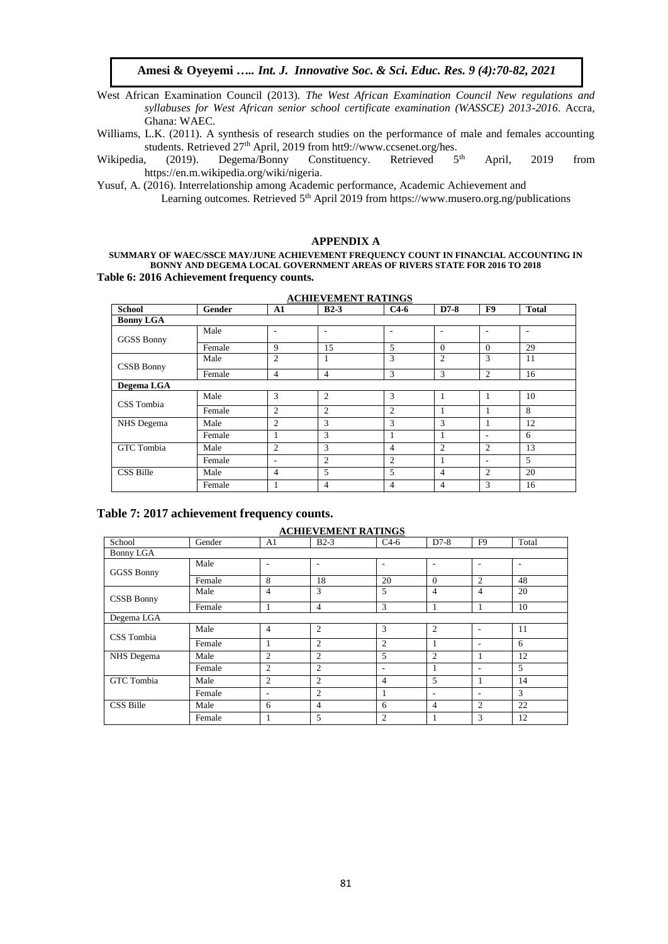West African Examination Council (2013). *The West African Examination Council New regulations and syllabuses for West African senior school certificate examination (WASSCE) 2013-2016*. Accra, Ghana: WAEC.

Williams, L.K. (2011). A synthesis of research studies on the performance of male and females accounting students. Retrieved 27<sup>th</sup> April, 2019 from htt9://www.ccsenet.org/hes.<br>
(2019). Degema/Bonny Constituency. Retrieved 5<sup>th</sup>

Wikipedia, (2019). Degema/Bonny Constituency. Retrieved 5<sup>th</sup> April, 2019 from [https://en.m.wikipedia.org/wiki/nigeria.](https://en.m.wikipedia.org/wiki/nigeria) 

Yusuf, A. (2016). Interrelationship among Academic performance, Academic Achievement and

Learning outcomes. Retrieved  $5<sup>th</sup>$  April 2019 from<https://www.musero.org.ng/publications>

#### **APPENDIX A**

**SUMMARY OF WAEC/SSCE MAY/JUNE ACHIEVEMENT FREQUENCY COUNT IN FINANCIAL ACCOUNTING IN BONNY AND DEGEMA LOCAL GOVERNMENT AREAS OF RIVERS STATE FOR 2016 TO 2018 Table 6: 2016 Achievement frequency counts.** 

| <b>School</b>     | Gender | A1             | $B2-3$                   | $C4-6$         | $D7-8$         | F9             | <b>Total</b> |
|-------------------|--------|----------------|--------------------------|----------------|----------------|----------------|--------------|
| <b>Bonny LGA</b>  |        |                |                          |                |                |                |              |
| <b>GGSS Bonny</b> | Male   | ٠              | $\overline{\phantom{a}}$ | ۰              | ٠              | ٠              | ۰            |
|                   | Female | 9              | 15                       | 5              | $\Omega$       | $\theta$       | 29           |
| <b>CSSB Bonny</b> | Male   | 2              | 1                        | 3              | $\mathfrak{2}$ | 3              | 11           |
|                   | Female | $\overline{4}$ | $\overline{4}$           | 3              | 3              | 2              | 16           |
| Degema LGA        |        |                |                          |                |                |                |              |
| CSS Tombia        | Male   | 3              | 2                        | 3              | 1              |                | 10           |
|                   | Female | 2              | 2                        | 2              | 1              |                | 8            |
| NHS Degema        | Male   | 2              | 3                        | 3              | 3              |                | 12           |
|                   | Female | $\mathbf{1}$   | 3                        | 1              | 1              | ٠              | 6            |
| <b>GTC</b> Tombia | Male   | 2              | 3                        | 4              | $\overline{2}$ | 2              | 13           |
|                   | Female | ٠              | 2                        | 2              | 1              | ٠              | 5            |
| CSS Bille         | Male   | $\overline{4}$ | 5                        | 5              | $\overline{4}$ | $\overline{2}$ | 20           |
|                   | Female |                | $\overline{4}$           | $\overline{4}$ | 4              | 3              | 16           |

#### **ACHIEVEMENT RATINGS**

#### **Table 7: 2017 achievement frequency counts.**

#### **ACHIEVEMENT RATINGS**

| School            | Gender | A <sub>1</sub>           | $B2-3$         | $C4-6$         | $D7-8$         | F <sub>9</sub> | Total |
|-------------------|--------|--------------------------|----------------|----------------|----------------|----------------|-------|
| Bonny LGA         |        |                          |                |                |                |                |       |
| <b>GGSS Bonny</b> | Male   | $\overline{\phantom{a}}$ | ٠              | ٠              | ٠              | ٠              | ۰     |
|                   | Female | 8                        | 18             | 20             | $\theta$       | 2              | 48    |
| CSSB Bonny        | Male   | $\overline{4}$           | 3              | 5              | 4              | $\overline{4}$ | 20    |
|                   | Female | 1                        | $\overline{4}$ | 3              |                | -              | 10    |
| Degema LGA        |        |                          |                |                |                |                |       |
| CSS Tombia        | Male   | $\overline{4}$           | $\overline{2}$ | 3              | 2              | ٠              | 11    |
|                   | Female | 1                        | $\overline{2}$ | $\overline{c}$ |                | ٠              | 6     |
| NHS Degema        | Male   | $\overline{2}$           | $\overline{2}$ | 5              | $\overline{c}$ | 1              | 12    |
|                   | Female | 2                        | $\overline{2}$ | ٠              |                | ٠              | 5     |
| <b>GTC</b> Tombia | Male   | 2                        | $\overline{2}$ | $\overline{4}$ | 5              | 1              | 14    |
|                   | Female | $\overline{\phantom{a}}$ | $\overline{2}$ |                | ٠              | ٠              | 3     |
| CSS Bille         | Male   | 6                        | $\overline{4}$ | 6              | $\overline{4}$ | 2              | 22    |
|                   | Female | 1                        | 5              | $\overline{2}$ |                | 3              | 12    |